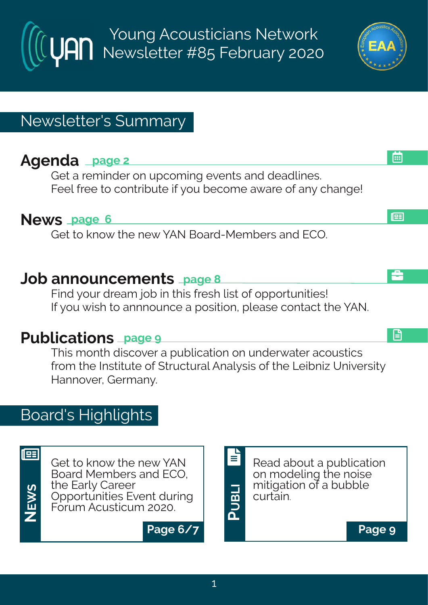Young Acousticians Network Newsletter #85 February 2020

# Newsletter's Summary

# **Agenda page 2**

Get a reminder on upcoming events and deadlines. Feel free to contribute if you become aware of any change!

### **News page 6**

Get to know the new YAN Board-Members and ECO.

### **Job announcements page 8**

Find your dream job in this fresh list of opportunities! If you wish to annnounce a position, please contact the YAN.

# **Publications page 9**

This month discover a publication on underwater acoustics from the Institute of Structural Analysis of the Leibniz University Hannover, Germany.

# Board's Highlights



<u>ທ</u>

**NE**

Get to know the new YAN Board Members and ECO, the Early Career Opportunities Event during Forum Acusticum 2020. **W**

**Page 6/7 Page 9**

Read about a publication on modeling the noise mitigation of a bubble curtain.

l⊞

画

å

日

**PUBLI**

E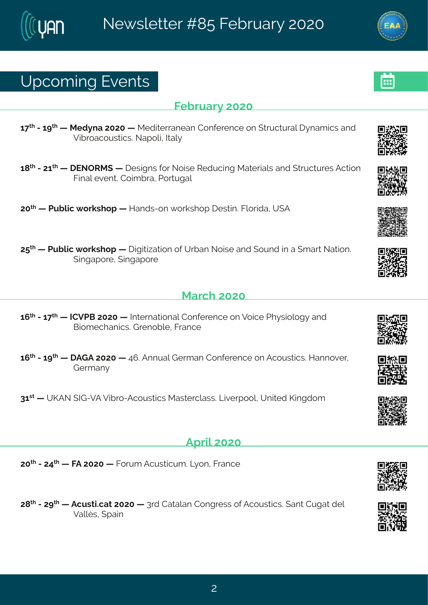### Yt gsq mk#Jzi r xw

#### Ki f wev  $\#575$

 $6 <^{\circ}$  #246 $>^{\circ}$  # #Rih}re#7575# #Rihmoiverier#Hsrjivirgi#sr#(xvygxyvep#}req mgw#erh# Zm/vsegsyworgw&Setspr#Nep

 $6 = x$  #24776 $x$  # JSTWR (# # i whar w#sv#Ssmwi#N' hygmk#Rexivmepw#erh# xvygxyviv#Fgxnsr# Kmep#zirx \$Hsmot ve#Us wykep

75<sup>x</sup> # #Uyfprop# svowlst # #Merhw2sr # svowlst # iwwm3Kpswhne1#Y (F

7: \* # # Liv f prop # svowl st # # nknownex wsr # si# Y of er#Ssnwi# erh# syrh# m # e# # q ew # Sexwsr 3# (mnket svi # mnket svi

#### Reval #575

- 6;  $\frac{\times}{4}$ #246 $\lt$   $\frac{\times}{4}$  #HHZUG#7575# #N xi vrexms rep#Hsrjivirgi#sr#Zsmgi#Ul} wmspsk }#erh# Grsnq i gler rom wost virsf pi #K ver gi
- 6:  $\frac{1}{2}$  #246> $\frac{1}{2}$  # FLF#7575# #9: 3FFrrvenstiva er#Hsrjiviraj#sr#Fasywwmonw3AMerrsziv#  $L$  i va er  $\}$

86 \*\* # PFS#NL 2ZF#Zm/vs2 Fgsywwongw#Rewwivgpeww@AQmzivtssp1#Yrmah#Pmnkhsq

#### <u>Ft vng#7575</u>

75<sup>x</sup> #2479<sup>x</sup> # #KF#7575# #Kswq #Fqywxmogyq 3#Q sr #Kwergi

7=  $\frac{d\pi}{dx}$  # # Fray worod ex # 575 # # 3 wh # Hexeper # Hsrkvi www.bi # Frasy woron w3 ¥ erx # Hykex # hip # Zepp w# tem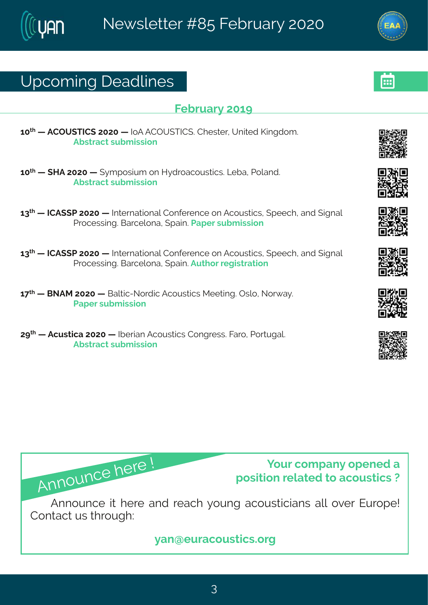### Yt gsq mk# i ehpni w

#### K f wev  $#56$

65<sup>x|</sup>#||#FHTY(XNHI(#7575#||#NSF#FHTY(XNHI(3#Hliwxiv1#Yrmxih#Pmnkhsq3# Ff wwegx#wyf q mwnsr

65<sup>x</sup> # # MF#7575 # # } q t swm, q # sr # M} h vseqsy ww.on w \$ Q f e # Usper h 3# Ff wwegx#w f g mwnsr

68<sup>x</sup> # #HHF((U#7575# #Nixivrexmsrep#Hsrjivirgi#sr#Fgsywwmogw.#(tiigl#erh#nkrep# Uvsgiwwnk 36Gevgipsre#ttem 3Uet iv#w fg mwnsr

 $68^{\text{nd}}$  # #HHF ((U#7575# #Nixivrexnsrep#Hsrjivirgi#sr#Fgsywxnogw #(tiigl#erh#nkrep# Uvsgiwwn k3KGevgipsre#(tem 3Fyx) sw#ikmwwexmsr

6 < <sup>x</sup> # #GSFR#7575# #Gepxng2Ssvhng#Fgsywxngw#Riixnnk 3#Twps1#Ssv{e}3# Uet i v#wyf q mwnsr

7><sup>x</sup> # #F q ywxmge #7575 # # Ni wner #F q s yww.ngw #H s r k vi ww. \$ K evex # U s w y k en \$ # Ff wwegx#w f g mwnsr

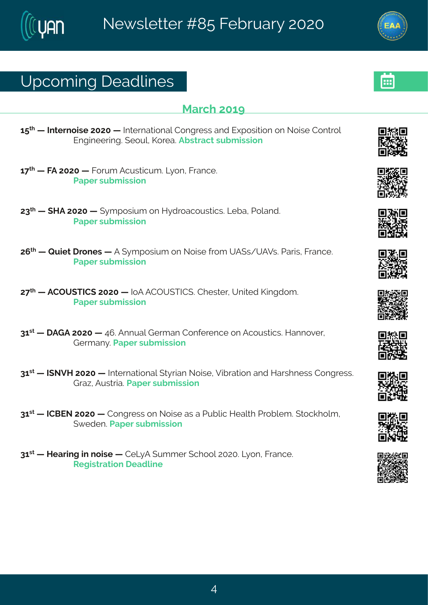# Yt gsq mk# i ehpni w

#### $Revol$  #56>

6:  $\frac{1}{4}$  # # xi vrsm i #7575 # # Nixi vrexms rep# Hsrkvi ww#erh#lltswmxms r#sr#Ssmwi# Hsrxvsp# Jrkmii wmk3#isyp#Psvie3Ffwwegx#wfgmwnar

 $6 <$ <sup> $\frac{1}{4}$ </sup> #KF#7575# #Kswa #Favwwmova 3KQ sr #Kverai 3# Uet i v#w f q mwnsr

78<sup>x</sup> # # MF#7575 # # } q t swm, q # sr # M} h vseq sy ww.on w \$ K f e # Usper h 3# Uet i v#w f q mwnsr

7; <sup>x</sup> # #Vymx# vsriw# #F# }qtswmyq#sr#Ssmwi#γsq#YF(w4YFZw&tJewnw#Kvergi3# Uet i v#w f a mwnsr

7<<sup>x|</sup> # #FHTY(XNH(#7575# #NSF#FHTY(XNH(3#Hliw-iv1#Yrmxih#Pmnkhsq 3# Uet i v#w f q mwnsr

86 \*\* # FLF#7575 # #9; 3FFrryep#Livq er#Hsrjivirgi#sr#Fgsywwmgw \$Merrsziv # Livger} 3 Let i v#w f g mwnsn

86W# #NISZM#7575# #Nixivrexmsrep#(x)vmer#Ssmwi#Zmfivexmsr#erh#Mewlriww#Hsrkviww3# Lve~#Fyww.me3Llet iv#wfqmwnsr

86 \*\* #HHGJS#7575# #Hsrkviww#sr#Ssmwi#ew#e#Llvfpond#Miepol#Llvsfpig 3#xsqolspout# ({ i hi r 3 Let i v#w f q mwns r

86 \*\* #Mie vm k #m # smvi # #HiQ F# yqqiv# glssp#757534Q sr #Kvergi3# W knowexpar# i ehpmi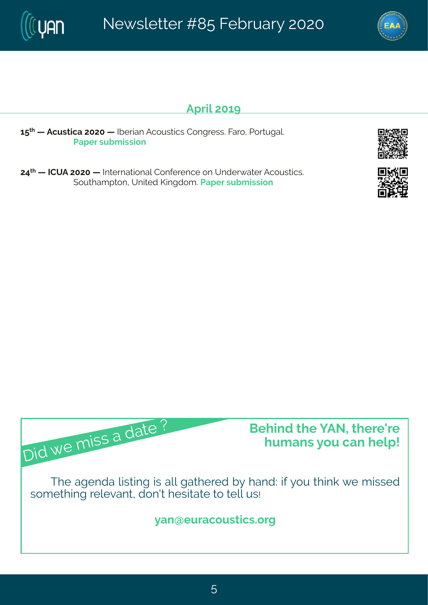Ft vm2 56>

6: xi # #F qywxnge #7575 # # Nii wner #F qsywxngw #Hsrkviww & Kidswykep \$# Uet i v#w f q mwnsr

79<sup>x</sup> # #NHYF#7575# #Nxivrexmsrep#Hsrjivirgi#sr#Yrhiv{exiv#Fgsywwmqw # (syxleqtxsr14Yrmah#Pmnkhsq3#Jetiv#wyfqmwnsr

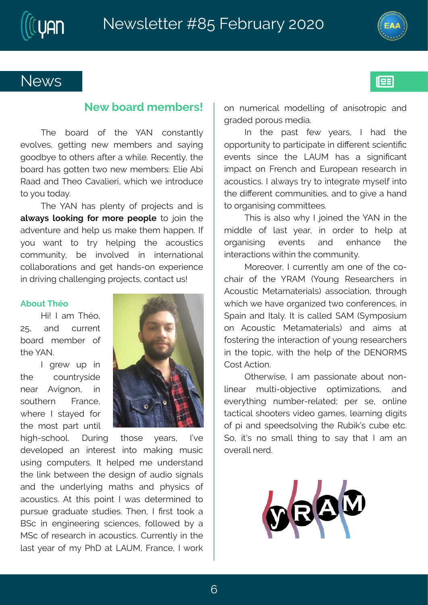



193

### **News**

#### **New board members!**

The board of the YAN constantly evolves, getting new members and saying goodbye to others after a while. Recently, the board has gotten two new members: Elie Abi Raad and Theo Cavalieri, which we introduce to you today.

The YAN has plenty of projects and is **always looking for more people** to join the adventure and help us make them happen. If you want to try helping the acoustics community, be involved in international collaborations and get hands-on experience in driving challenging projects, contact us!

#### **About Théo**

Hi! I am Théo, 25, and current board member of the YAN.

I grew up in the countryside near Avignon, in southern France, where I stayed for the most part until



high-school. During those years, I've developed an interest into making music using computers. It helped me understand the link between the design of audio signals and the underlying maths and physics of acoustics. At this point I was determined to pursue graduate studies. Then, I first took a BSc in engineering sciences, followed by a MSc of research in acoustics. Currently in the last year of my PhD at LAUM, France, I work on numerical modelling of anisotropic and graded porous media.

In the past few years, I had the opportunity to participate in different scientific events since the LAUM has a significant impact on French and European research in acoustics. I always try to integrate myself into the different communities, and to give a hand to organising committees.

This is also why I joined the YAN in the middle of last year, in order to help at organising events and enhance the interactions within the community.

Moreover, I currently am one of the cochair of the YRAM (Young Researchers in Acoustic Metamaterials) association, through which we have organized two conferences, in Spain and Italy. It is called SAM (Symposium on Acoustic Metamaterials) and aims at fostering the interaction of young researchers in the topic, with the help of the DENORMS Cost Action.

Otherwise, I am passionate about nonlinear multi-objective optimizations, and everything number-related; per se, online tactical shooters video games, learning digits of pi and speedsolving the Rubik's cube etc. So, it's no small thing to say that I am an overall nerd.

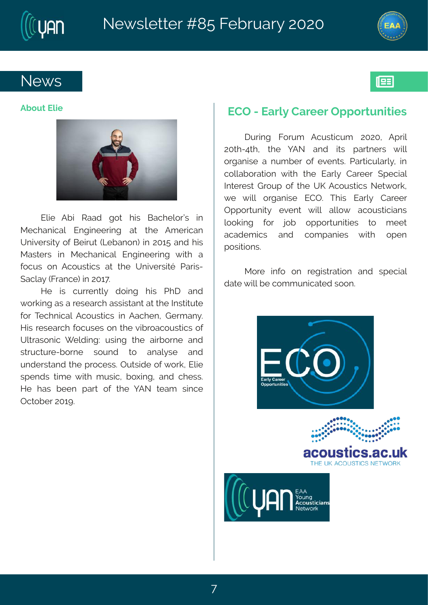



193

### **News**

#### **About Elie**



Elie Abi Raad got his Bachelor's in Mechanical Engineering at the American University of Beirut (Lebanon) in 2015 and his Masters in Mechanical Engineering with a focus on Acoustics at the Université Paris-Saclay (France) in 2017.

He is currently doing his PhD and working as a research assistant at the Institute for Technical Acoustics in Aachen, Germany. His research focuses on the vibroacoustics of Ultrasonic Welding: using the airborne and structure-borne sound to analyse and understand the process. Outside of work, Elie spends time with music, boxing, and chess. He has been part of the YAN team since October 2019.

#### **ECO - Early Career Opportunities**

During Forum Acusticum 2020, April 20th-4th, the YAN and its partners will organise a number of events. Particularly, in collaboration with the Early Career Special Interest Group of the UK Acoustics Network, we will organise ECO. This Early Career Opportunity event will allow acousticians looking for job opportunities to meet academics and companies with open positions.

More info on registration and special date will be communicated soon.

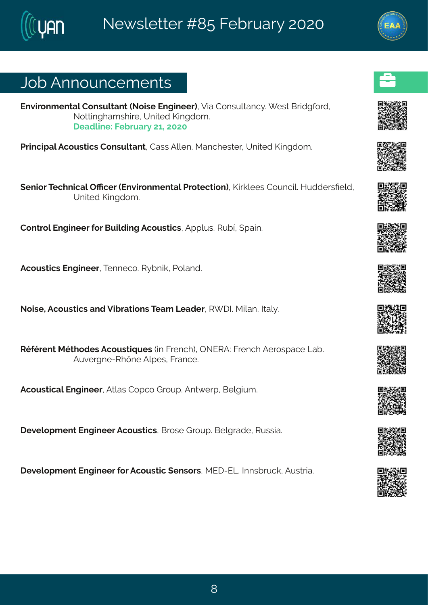### Osf#Frrsyrgiqirxw

Jrzmsrgirxep#Hsrwypxerx#Ssmwi#Jrkmiiv.14Zme#Hsrwypxerq}3#iw#Gwmlkjsvh1# Ssxxmkleq wimit#Yrmah#Pmnkhsq 3# I i ehmi  $\frac{2}{3}$ i f wev} #6#7575

Uvm grine pf Figsy ward with the review of principle in the real in wait with real numbers of 3

(irmsw#X glrmgep#TRgiw#Jrzmwsrq irxep#Lwsxigxmsr.#Pmwopiiw#Hsyrgm@AMyhhiwnPiph# Yrmih#Pmkhsq 3

Hsrxvsc#Jrkm\_iiv#sv#Gvmchm.k#Fo.svwxmouw1#Fttpvw3#WvfÔ#ttem=3

Fgsywangw#Jrkmiiv#Xirrigs3#Wjfrmo1#Usperh3

Ssmvi 1Fgsywngw terh 4Z rh vexmarw 4Xieq #Qiehiv 4AV INSR moer 4A dep} 3

Wijivirx#Rixlshiw#Fgsywxmuyiw#mn#Kvirgl.1#TSJWF?#Kvirgl#Fivswtegi#Qef3# Fyzi vkri 2 W Ûri#Fpt i w#K vergi 3

Fasywangep#lrkmiiv#Fxpew#Hstas#Lvsyt3#Frx{ivt#Gipkmyq3

I i zipst q i r x#l r k m i i v#Fgsy wxngw #G ws wi#L vsyt 3#Gipk vehi#My wwwe83

lizipstqirx#lrkmiiv#sv#Fqsywxmq#tirwsww1kRJI2JQ@#ntrwfw.qo1#Fywxwme3